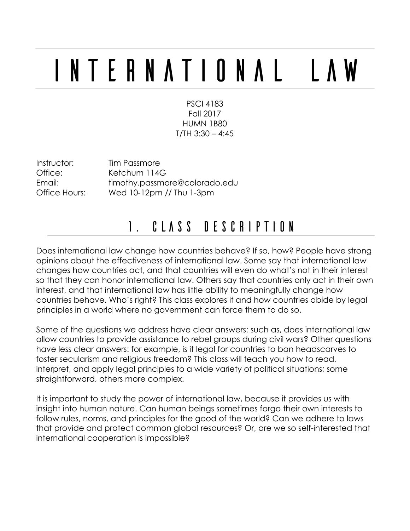# International Law

PSCI 4183 Fall 2017 HUMN 1B80  $T/TH$  3:30 – 4:45

Instructor: Tim Passmore

Office: Ketchum 114G Email: timothy.passmore@colorado.edu Office Hours: Wed 10-12pm // Thu 1-3pm

## 1. Class Description

Does international law change how countries behave? If so, how? People have strong opinions about the effectiveness of international law. Some say that international law changes how countries act, and that countries will even do what's not in their interest so that they can honor international law. Others say that countries only act in their own interest, and that international law has little ability to meaningfully change how countries behave. Who's right? This class explores if and how countries abide by legal principles in a world where no government can force them to do so.

Some of the questions we address have clear answers: such as, does international law allow countries to provide assistance to rebel groups during civil wars? Other questions have less clear answers: for example, is it legal for countries to ban headscarves to foster secularism and religious freedom? This class will teach you how to read, interpret, and apply legal principles to a wide variety of political situations; some straightforward, others more complex.

It is important to study the power of international law, because it provides us with insight into human nature. Can human beings sometimes forgo their own interests to follow rules, norms, and principles for the good of the world? Can we adhere to laws that provide and protect common global resources? Or, are we so self-interested that international cooperation is impossible?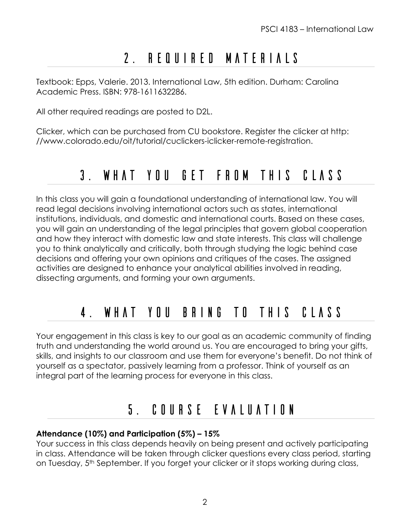# 2. Required materials

Textbook: Epps, Valerie. 2013. International Law, 5th edition. Durham: Carolina Academic Press. ISBN: 978-1611632286.

All other required readings are posted to D2L.

Clicker, which can be purchased from CU bookstore. Register the clicker at http: //www.colorado.edu/oit/tutorial/cuclickers-iclicker-remote-registration.

### 3. What you get from this class

In this class you will gain a foundational understanding of international law. You will read legal decisions involving international actors such as states, international institutions, individuals, and domestic and international courts. Based on these cases, you will gain an understanding of the legal principles that govern global cooperation and how they interact with domestic law and state interests. This class will challenge you to think analytically and critically, both through studying the logic behind case decisions and offering your own opinions and critiques of the cases. The assigned activities are designed to enhance your analytical abilities involved in reading, dissecting arguments, and forming your own arguments.

# 4. What you bring to this class

Your engagement in this class is key to our goal as an academic community of finding truth and understanding the world around us. You are encouraged to bring your gifts, skills, and insights to our classroom and use them for everyone's benefit. Do not think of yourself as a spectator, passively learning from a professor. Think of yourself as an integral part of the learning process for everyone in this class.

## 5. Course Evaluation

#### **Attendance (10%) and Participation (5%) – 15%**

Your success in this class depends heavily on being present and actively participating in class. Attendance will be taken through clicker questions every class period, starting on Tuesday, 5<sup>th</sup> September. If you forget your clicker or it stops working during class,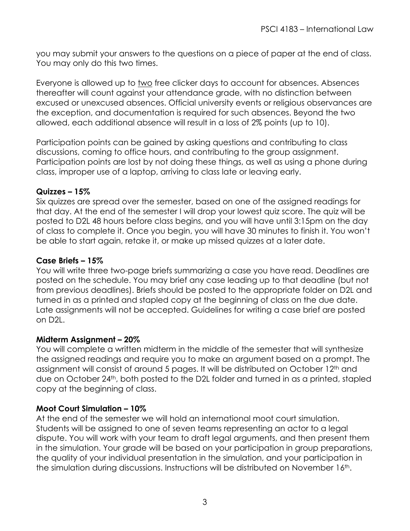you may submit your answers to the questions on a piece of paper at the end of class. You may only do this two times.

Everyone is allowed up to two free clicker days to account for absences. Absences thereafter will count against your attendance grade, with no distinction between excused or unexcused absences. Official university events or religious observances are the exception, and documentation is required for such absences. Beyond the two allowed, each additional absence will result in a loss of 2% points (up to 10).

Participation points can be gained by asking questions and contributing to class discussions, coming to office hours, and contributing to the group assignment. Participation points are lost by not doing these things, as well as using a phone during class, improper use of a laptop, arriving to class late or leaving early.

#### **Quizzes – 15%**

Six quizzes are spread over the semester, based on one of the assigned readings for that day. At the end of the semester I will drop your lowest quiz score. The quiz will be posted to D2L 48 hours before class begins, and you will have until 3:15pm on the day of class to complete it. Once you begin, you will have 30 minutes to finish it. You won't be able to start again, retake it, or make up missed quizzes at a later date.

#### **Case Briefs – 15%**

You will write three two-page briefs summarizing a case you have read. Deadlines are posted on the schedule. You may brief any case leading up to that deadline (but not from previous deadlines). Briefs should be posted to the appropriate folder on D2L and turned in as a printed and stapled copy at the beginning of class on the due date. Late assignments will not be accepted. Guidelines for writing a case brief are posted on D2L.

#### **Midterm Assignment – 20%**

You will complete a written midterm in the middle of the semester that will synthesize the assigned readings and require you to make an argument based on a prompt. The assignment will consist of around 5 pages. It will be distributed on October 12th and due on October 24th, both posted to the D2L folder and turned in as a printed, stapled copy at the beginning of class.

#### **Moot Court Simulation – 10%**

At the end of the semester we will hold an international moot court simulation. Students will be assigned to one of seven teams representing an actor to a legal dispute. You will work with your team to draft legal arguments, and then present them in the simulation. Your grade will be based on your participation in group preparations, the quality of your individual presentation in the simulation, and your participation in the simulation during discussions. Instructions will be distributed on November 16<sup>th</sup>.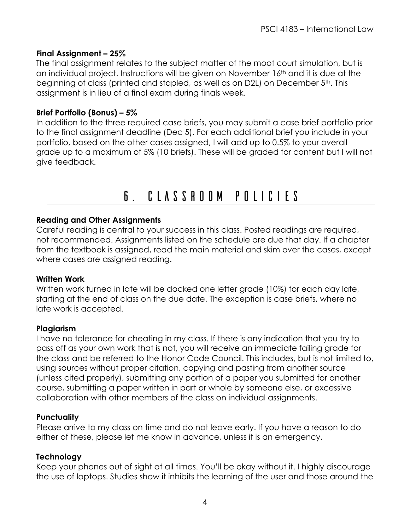#### **Final Assignment – 25%**

The final assignment relates to the subject matter of the moot court simulation, but is an individual project. Instructions will be given on November 16<sup>th</sup> and it is due at the beginning of class (printed and stapled, as well as on D2L) on December 5th. This assignment is in lieu of a final exam during finals week.

#### **Brief Portfolio (Bonus) – 5%**

In addition to the three required case briefs, you may submit a case brief portfolio prior to the final assignment deadline (Dec 5). For each additional brief you include in your portfolio, based on the other cases assigned, I will add up to 0.5% to your overall grade up to a maximum of 5% (10 briefs). These will be graded for content but I will not give feedback.

## 6. Classroom Policies

#### **Reading and Other Assignments**

Careful reading is central to your success in this class. Posted readings are required, not recommended. Assignments listed on the schedule are due that day. If a chapter from the textbook is assigned, read the main material and skim over the cases, except where cases are assigned reading.

#### **Written Work**

Written work turned in late will be docked one letter grade (10%) for each day late, starting at the end of class on the due date. The exception is case briefs, where no late work is accepted.

#### **Plagiarism**

I have no tolerance for cheating in my class. If there is any indication that you try to pass off as your own work that is not, you will receive an immediate failing grade for the class and be referred to the Honor Code Council. This includes, but is not limited to, using sources without proper citation, copying and pasting from another source (unless cited properly), submitting any portion of a paper you submitted for another course, submitting a paper written in part or whole by someone else, or excessive collaboration with other members of the class on individual assignments.

#### **Punctuality**

Please arrive to my class on time and do not leave early. If you have a reason to do either of these, please let me know in advance, unless it is an emergency.

#### **Technology**

Keep your phones out of sight at all times. You'll be okay without it. I highly discourage the use of laptops. Studies show it inhibits the learning of the user and those around the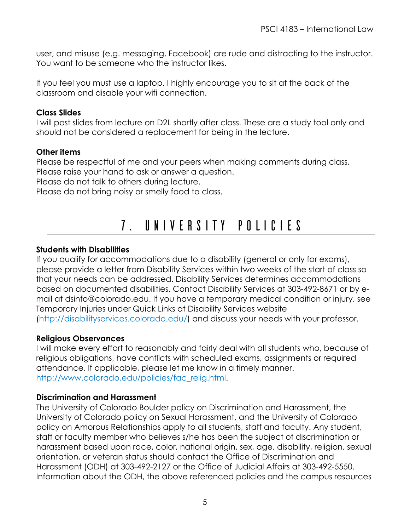user, and misuse (e.g. messaging, Facebook) are rude and distracting to the instructor. You want to be someone who the instructor likes.

If you feel you must use a laptop, I highly encourage you to sit at the back of the classroom and disable your wifi connection.

#### **Class Slides**

I will post slides from lecture on D2L shortly after class. These are a study tool only and should not be considered a replacement for being in the lecture.

#### **Other items**

Please be respectful of me and your peers when making comments during class. Please raise your hand to ask or answer a question.

Please do not talk to others during lecture.

Please do not bring noisy or smelly food to class.

## 7. University Policies

#### **Students with Disabilities**

If you qualify for accommodations due to a disability (general or only for exams), please provide a letter from Disability Services within two weeks of the start of class so that your needs can be addressed. Disability Services determines accommodations based on documented disabilities. Contact Disability Services at 303-492-8671 or by email at dsinfo@colorado.edu. If you have a temporary medical condition or injury, see Temporary Injuries under Quick Links at Disability Services website (http://disabilityservices.colorado.edu/) and discuss your needs with your professor.

#### **Religious Observances**

I will make every effort to reasonably and fairly deal with all students who, because of religious obligations, have conflicts with scheduled exams, assignments or required attendance. If applicable, please let me know in a timely manner. http://www.colorado.edu/policies/fac\_relig.html.

#### **Discrimination and Harassment**

The University of Colorado Boulder policy on Discrimination and Harassment, the University of Colorado policy on Sexual Harassment, and the University of Colorado policy on Amorous Relationships apply to all students, staff and faculty. Any student, staff or faculty member who believes s/he has been the subject of discrimination or harassment based upon race, color, national origin, sex, age, disability, religion, sexual orientation, or veteran status should contact the Office of Discrimination and Harassment (ODH) at 303-492-2127 or the Office of Judicial Affairs at 303-492-5550. Information about the ODH, the above referenced policies and the campus resources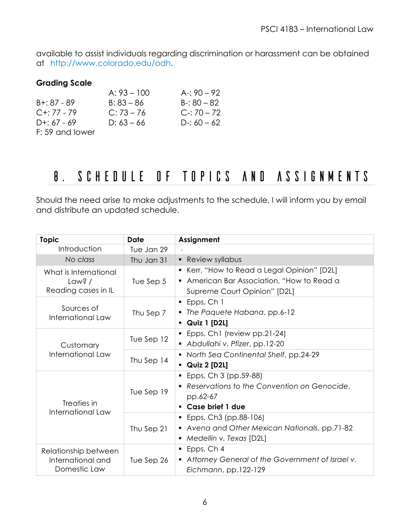available to assist individuals regarding discrimination or harassment can be obtained at http://www.colorado.edu/odh.

#### **Grading Scale**

|                 | $A: 93 - 100$ | A-: $90 - 92$ |
|-----------------|---------------|---------------|
| $B + 87 - 89$   | $B: 83 - 86$  | $B - 80 - 82$ |
| $C+: 77 - 79$   | $C: 73 - 76$  | $C-70-72$     |
| $D+: 67 - 69$   | $D: 63 - 66$  | D-: $60 - 62$ |
| F: 59 and lower |               |               |

## 8. Schedule of Topics and Assignments

Should the need arise to make adjustments to the schedule, I will inform you by email and distribute an updated schedule.

| <b>Topic</b>                                              | <b>Date</b> | Assignment                                                                                |
|-----------------------------------------------------------|-------------|-------------------------------------------------------------------------------------------|
| Introduction                                              | Tue Jan 29  |                                                                                           |
| No class                                                  | Thu Jan 31  | • Review syllabus                                                                         |
| What is International<br>Law? $/$                         | Tue Sep $5$ | • Kerr, "How to Read a Legal Opinion" [D2L]<br>• American Bar Association, "How to Read a |
| Reading cases in IL                                       |             | Supreme Court Opinion" [D2L]                                                              |
| Sources of<br>International Law                           | Thu Sep 7   | Epps, Ch 1                                                                                |
|                                                           |             | • The Paquete Habana, pp.6-12                                                             |
|                                                           |             | • Quiz 1 [D2L]                                                                            |
| Customary<br>International Law                            | Tue Sep 12  | • Epps, Ch1 (review pp.21-24)                                                             |
|                                                           |             | Abdullahi v. Pfizer, pp.12-20                                                             |
|                                                           | Thu Sep 14  | • North Sea Continental Shelf, pp.24-29                                                   |
|                                                           |             | • Quiz 2 [D2L]                                                                            |
| Treaties in<br>International Law                          | Tue Sep 19  | $\blacksquare$ Epps, Ch 3 (pp.59-88)                                                      |
|                                                           |             | Reservations to the Convention on Genocide,                                               |
|                                                           |             | pp.62-67                                                                                  |
|                                                           |             | Case brief 1 due                                                                          |
|                                                           |             | $\blacksquare$ Epps, Ch3 (pp.88-106)                                                      |
|                                                           | Thu Sep 21  | • Avena and Other Mexican Nationals, pp.71-82                                             |
|                                                           |             | • Medellin v. Texas [D2L]                                                                 |
| Relationship between<br>International and<br>Domestic Law |             | $\blacksquare$ Epps, Ch 4                                                                 |
|                                                           | Tue Sep 26  | • Attorney General of the Government of Israel v.                                         |
|                                                           |             | Eichmann, pp.122-129                                                                      |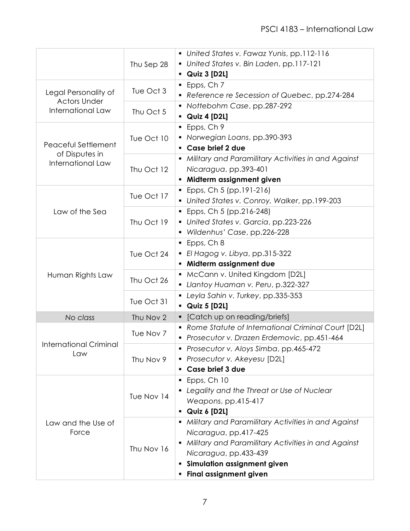|                                          | Thu Sep 28               | • United States v. Fawaz Yunis, pp.112-116                         |
|------------------------------------------|--------------------------|--------------------------------------------------------------------|
|                                          |                          | United States v. Bin Laden, pp.117-121                             |
|                                          |                          | $\bullet$ Quiz 3 [D2L]<br>Epps, Ch 7                               |
| Legal Personality of                     | Tue Oct 3<br>Thu Oct 5   | Reference re Secession of Quebec, pp.274-284                       |
| <b>Actors Under</b><br>International Law |                          | • Nottebohm Case, pp.287-292                                       |
|                                          |                          | Quiz 4 [D2L]                                                       |
|                                          | Tue Oct 10               | Epps, Ch 9                                                         |
| Peaceful Settlement<br>of Disputes in    |                          | • Norwegian Loans, pp.390-393                                      |
|                                          |                          | Case brief 2 due                                                   |
|                                          |                          | • Military and Paramilitary Activities in and Against              |
| International Law                        | Thu Oct 12               | Nicaragua, pp.393-401                                              |
|                                          |                          | • Midterm assignment given                                         |
|                                          |                          | Epps, Ch 5 (pp.191-216)                                            |
|                                          | Tue Oct 17               | • United States v. Conroy, Walker, pp.199-203                      |
| Law of the Sea                           | Thu Oct 19               | $\blacksquare$ Epps, Ch 5 (pp.216-248)                             |
|                                          |                          | • United States v. Garcia, pp.223-226                              |
|                                          |                          | ■ Wildenhus' Case, pp.226-228                                      |
|                                          |                          | $\blacksquare$ Epps, Ch 8                                          |
|                                          | Tue Oct 24               | El Hagog v. Libya, pp.315-322                                      |
|                                          |                          | Midterm assignment due                                             |
| Human Rights Law                         | Thu Oct 26               | McCann v. United Kingdom [D2L]                                     |
|                                          |                          | Llantoy Huaman v. Peru, p.322-327                                  |
|                                          | Tue Oct 31               | • Leyla Sahin v. Turkey, pp.335-353                                |
|                                          |                          | $\blacksquare$ Quiz 5 [D2L]                                        |
| No class                                 | Thu Nov 2                | [Catch up on reading/briefs]                                       |
|                                          | Tue Nov 7                | • Rome Statute of International Criminal Court [D2L]               |
| <b>International Criminal</b>            |                          | Prosecutor v. Drazen Erdemovic, pp.451-464                         |
| Law                                      | Thu Nov 9                | Prosecutor v. Aloys Simba, pp.465-472                              |
|                                          |                          | • Prosecutor v. Akeyesu [D2L]                                      |
|                                          |                          | Case brief 3 due                                                   |
| Law and the Use of<br>Force              | Tue Nov 14<br>Thu Nov 16 | Epps, Ch 10                                                        |
|                                          |                          | • Legality and the Threat or Use of Nuclear<br>Weapons, pp.415-417 |
|                                          |                          | Quiz 6 [D2L]<br>٠                                                  |
|                                          |                          | • Military and Paramilitary Activities in and Against              |
|                                          |                          | Nicaragua, pp.417-425                                              |
|                                          |                          | Military and Paramilitary Activities in and Against                |
|                                          |                          | Nicaragua, pp.433-439                                              |
|                                          |                          | <b>Simulation assignment given</b><br>٠                            |
|                                          |                          | Final assignment given                                             |